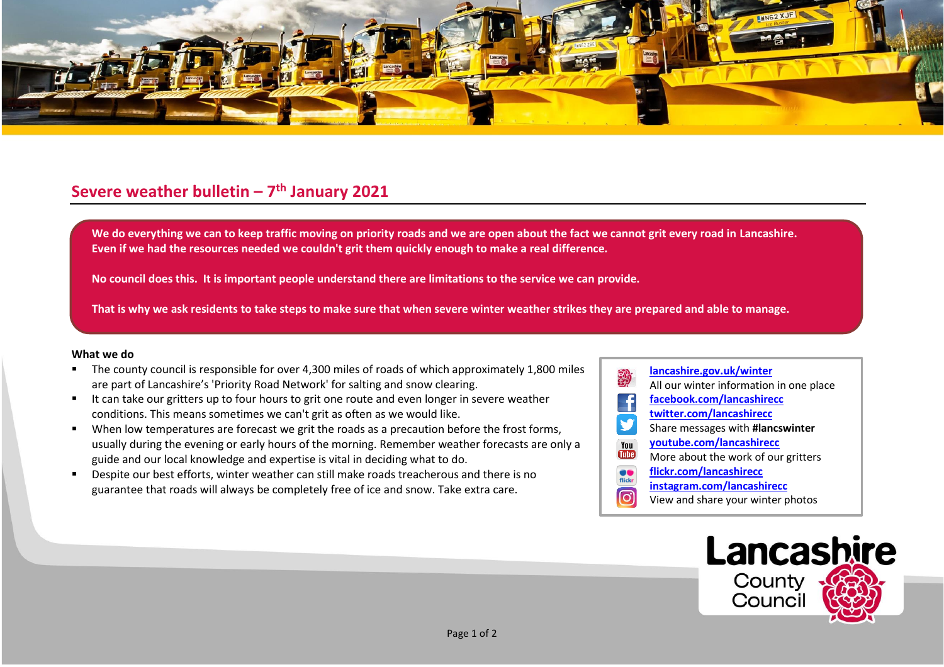

## **Severe weather bulletin – 7 th January 2021**

We do everything we can to keep traffic moving on priority roads and we are open about the fact we cannot grit every road in Lancashire. **Even if we had the resources needed we couldn't grit them quickly enough to make a real difference.**

**No council does this. It is important people understand there are limitations to the service we can provide.**

**That is why we ask residents to take steps to make sure that when severe winter weather strikes they are prepared and able to manage.**

## **What we do**

- The county council is responsible for over 4,300 miles of roads of which approximately 1,800 miles are part of Lancashire's 'Priority Road Network' for salting and snow clearing.
- It can take our gritters up to four hours to grit one route and even longer in severe weather conditions. This means sometimes we can't grit as often as we would like.
- When low temperatures are forecast we grit the roads as a precaution before the frost forms, usually during the evening or early hours of the morning. Remember weather forecasts are only a guide and our local knowledge and expertise is vital in deciding what to do.
- Despite our best efforts, winter weather can still make roads treacherous and there is no guarantee that roads will always be completely free of ice and snow. Take extra care.
- **[lancashire.gov.uk/winter](http://www.lancashire.gov.uk/winter)** All our winter information in one place **[facebook.com/lancashirecc](http://www.facebook.com/lancashirecc) [twitter.com/lancashirecc](http://www.twitter.com/lancashirecc)** y Share messages with **#lancswinter [youtube.com/lancashirecc](http://www.youtube.com/lancashirecc)** You **Tilte** More about the work of our gritters  $\bullet$ **[flickr.com/lancashirecc](http://www.flickr.com/lancashirecc)** flickr **[instagram.com/lancashirecc](http://www.instagram.com/lancashirecc)** ြင View and share your winter photos